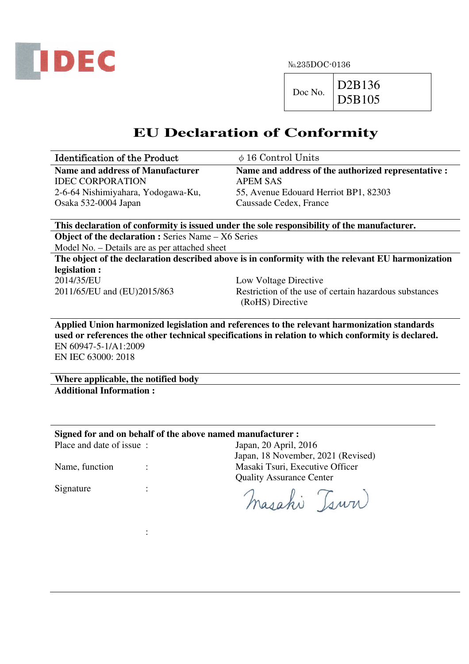

№235DOC-0136

 $Doc No.$  D2B136

D5B105

## **EU Declaration of Conformity**

| <b>Identification of the Product</b> | $\phi$ 16 Control Units                             |
|--------------------------------------|-----------------------------------------------------|
| Name and address of Manufacturer     | Name and address of the authorized representative : |
| <b>IDEC CORPORATION</b>              | APEM SAS                                            |
| 2-6-64 Nishimiyahara, Yodogawa-Ku,   | 55, Avenue Edouard Herriot BP1, 82303               |
| Osaka 532-0004 Japan                 | Caussade Cedex, France                              |

**This declaration of conformity is issued under the sole responsibility of the manufacturer. Object of the declaration :** Series Name – X6 Series Model No. – Details are as per attached sheet

**The object of the declaration described above is in conformity with the relevant EU harmonization legislation :**  2014/35/EU Low Voltage Directive 2011/65/EU and (EU)2015/863 Restriction of the use of certain hazardous substances (RoHS) Directive

**Applied Union harmonized legislation and references to the relevant harmonization standards used or references the other technical specifications in relation to which conformity is declared.**  EN 60947-5-1/A1:2009 EN IEC 63000: 2018

**Where applicable, the notified body Additional Information :** 

**Signed for and on behalf of the above named manufacturer :** 

Place and date of issue : Japan, 20 April, 2016 Japan, 18 November, 2021 (Revised) Name, function : The Masaki Tsuri, Executive Officer Quality Assurance Center Signature :

Masahi Tsuri

**Service State State State**